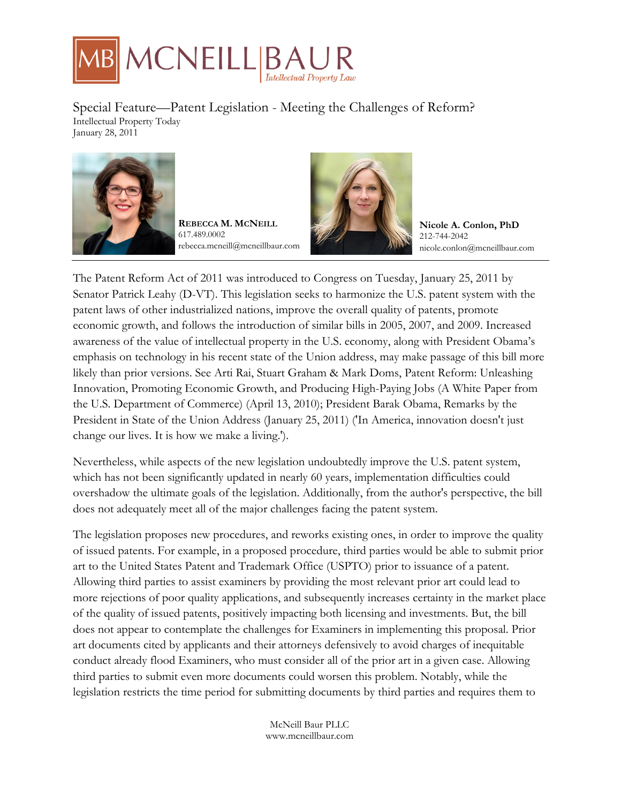

Special Feature—Patent Legislation - Meeting the Challenges of Reform? Intellectual Property Today January 28, 2011



**REBECCA M. MCNEILL** 617.489.0002 rebecca.mcneill@mcneillbaur.com



**Nicole A. Conlon, PhD** 212-744-2042 nicole.conlon@mcneillbaur.com

The Patent Reform Act of 2011 was introduced to Congress on Tuesday, January 25, 2011 by Senator Patrick Leahy (D-VT). This legislation seeks to harmonize the U.S. patent system with the patent laws of other industrialized nations, improve the overall quality of patents, promote economic growth, and follows the introduction of similar bills in 2005, 2007, and 2009. Increased awareness of the value of intellectual property in the U.S. economy, along with President Obama's emphasis on technology in his recent state of the Union address, may make passage of this bill more likely than prior versions. See Arti Rai, Stuart Graham & Mark Doms, Patent Reform: Unleashing Innovation, Promoting Economic Growth, and Producing High-Paying Jobs (A White Paper from the U.S. Department of Commerce) (April 13, 2010); President Barak Obama, Remarks by the President in State of the Union Address (January 25, 2011) ('In America, innovation doesn't just change our lives. It is how we make a living.').

Nevertheless, while aspects of the new legislation undoubtedly improve the U.S. patent system, which has not been significantly updated in nearly 60 years, implementation difficulties could overshadow the ultimate goals of the legislation. Additionally, from the author's perspective, the bill does not adequately meet all of the major challenges facing the patent system.

The legislation proposes new procedures, and reworks existing ones, in order to improve the quality of issued patents. For example, in a proposed procedure, third parties would be able to submit prior art to the United States Patent and Trademark Office (USPTO) prior to issuance of a patent. Allowing third parties to assist examiners by providing the most relevant prior art could lead to more rejections of poor quality applications, and subsequently increases certainty in the market place of the quality of issued patents, positively impacting both licensing and investments. But, the bill does not appear to contemplate the challenges for Examiners in implementing this proposal. Prior art documents cited by applicants and their attorneys defensively to avoid charges of inequitable conduct already flood Examiners, who must consider all of the prior art in a given case. Allowing third parties to submit even more documents could worsen this problem. Notably, while the legislation restricts the time period for submitting documents by third parties and requires them to

> McNeill Baur PLLC www.mcneillbaur.com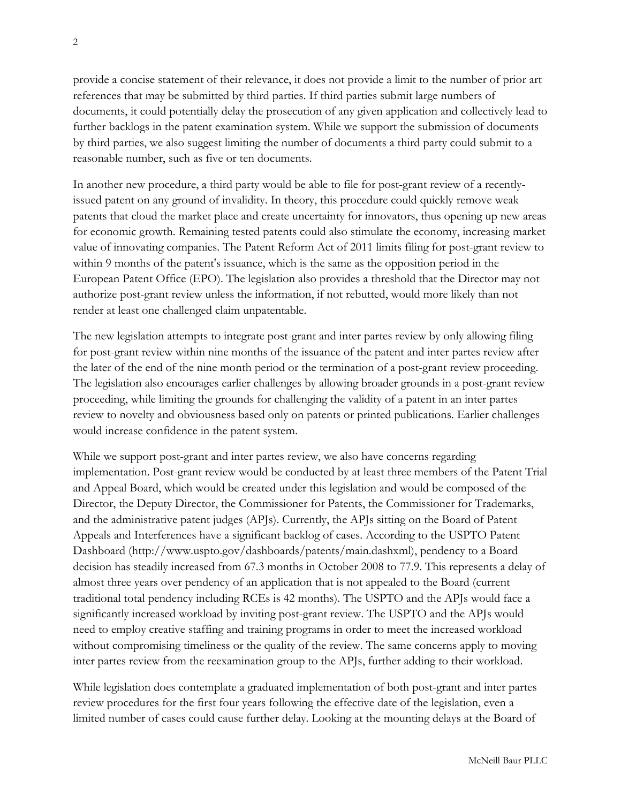provide a concise statement of their relevance, it does not provide a limit to the number of prior art references that may be submitted by third parties. If third parties submit large numbers of documents, it could potentially delay the prosecution of any given application and collectively lead to further backlogs in the patent examination system. While we support the submission of documents by third parties, we also suggest limiting the number of documents a third party could submit to a reasonable number, such as five or ten documents.

In another new procedure, a third party would be able to file for post-grant review of a recentlyissued patent on any ground of invalidity. In theory, this procedure could quickly remove weak patents that cloud the market place and create uncertainty for innovators, thus opening up new areas for economic growth. Remaining tested patents could also stimulate the economy, increasing market value of innovating companies. The Patent Reform Act of 2011 limits filing for post-grant review to within 9 months of the patent's issuance, which is the same as the opposition period in the European Patent Office (EPO). The legislation also provides a threshold that the Director may not authorize post-grant review unless the information, if not rebutted, would more likely than not render at least one challenged claim unpatentable.

The new legislation attempts to integrate post-grant and inter partes review by only allowing filing for post-grant review within nine months of the issuance of the patent and inter partes review after the later of the end of the nine month period or the termination of a post-grant review proceeding. The legislation also encourages earlier challenges by allowing broader grounds in a post-grant review proceeding, while limiting the grounds for challenging the validity of a patent in an inter partes review to novelty and obviousness based only on patents or printed publications. Earlier challenges would increase confidence in the patent system.

While we support post-grant and inter partes review, we also have concerns regarding implementation. Post-grant review would be conducted by at least three members of the Patent Trial and Appeal Board, which would be created under this legislation and would be composed of the Director, the Deputy Director, the Commissioner for Patents, the Commissioner for Trademarks, and the administrative patent judges (APJs). Currently, the APJs sitting on the Board of Patent Appeals and Interferences have a significant backlog of cases. According to the USPTO Patent Dashboard (http://www.uspto.gov/dashboards/patents/main.dashxml), pendency to a Board decision has steadily increased from 67.3 months in October 2008 to 77.9. This represents a delay of almost three years over pendency of an application that is not appealed to the Board (current traditional total pendency including RCEs is 42 months). The USPTO and the APJs would face a significantly increased workload by inviting post-grant review. The USPTO and the APJs would need to employ creative staffing and training programs in order to meet the increased workload without compromising timeliness or the quality of the review. The same concerns apply to moving inter partes review from the reexamination group to the APJs, further adding to their workload.

While legislation does contemplate a graduated implementation of both post-grant and inter partes review procedures for the first four years following the effective date of the legislation, even a limited number of cases could cause further delay. Looking at the mounting delays at the Board of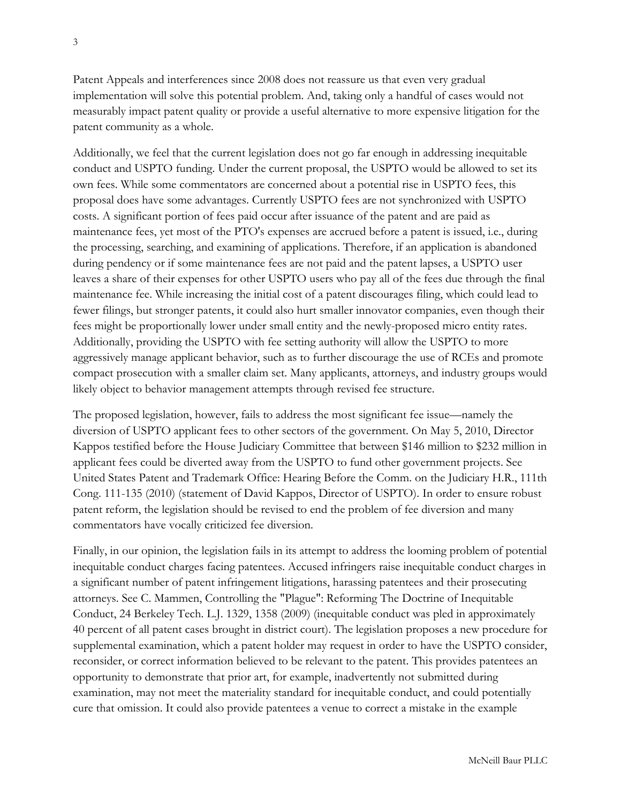Patent Appeals and interferences since 2008 does not reassure us that even very gradual implementation will solve this potential problem. And, taking only a handful of cases would not measurably impact patent quality or provide a useful alternative to more expensive litigation for the patent community as a whole.

Additionally, we feel that the current legislation does not go far enough in addressing inequitable conduct and USPTO funding. Under the current proposal, the USPTO would be allowed to set its own fees. While some commentators are concerned about a potential rise in USPTO fees, this proposal does have some advantages. Currently USPTO fees are not synchronized with USPTO costs. A significant portion of fees paid occur after issuance of the patent and are paid as maintenance fees, yet most of the PTO's expenses are accrued before a patent is issued, i.e., during the processing, searching, and examining of applications. Therefore, if an application is abandoned during pendency or if some maintenance fees are not paid and the patent lapses, a USPTO user leaves a share of their expenses for other USPTO users who pay all of the fees due through the final maintenance fee. While increasing the initial cost of a patent discourages filing, which could lead to fewer filings, but stronger patents, it could also hurt smaller innovator companies, even though their fees might be proportionally lower under small entity and the newly-proposed micro entity rates. Additionally, providing the USPTO with fee setting authority will allow the USPTO to more aggressively manage applicant behavior, such as to further discourage the use of RCEs and promote compact prosecution with a smaller claim set. Many applicants, attorneys, and industry groups would likely object to behavior management attempts through revised fee structure.

The proposed legislation, however, fails to address the most significant fee issue—namely the diversion of USPTO applicant fees to other sectors of the government. On May 5, 2010, Director Kappos testified before the House Judiciary Committee that between \$146 million to \$232 million in applicant fees could be diverted away from the USPTO to fund other government projects. See United States Patent and Trademark Office: Hearing Before the Comm. on the Judiciary H.R., 111th Cong. 111-135 (2010) (statement of David Kappos, Director of USPTO). In order to ensure robust patent reform, the legislation should be revised to end the problem of fee diversion and many commentators have vocally criticized fee diversion.

Finally, in our opinion, the legislation fails in its attempt to address the looming problem of potential inequitable conduct charges facing patentees. Accused infringers raise inequitable conduct charges in a significant number of patent infringement litigations, harassing patentees and their prosecuting attorneys. See C. Mammen, Controlling the "Plague": Reforming The Doctrine of Inequitable Conduct, 24 Berkeley Tech. L.J. 1329, 1358 (2009) (inequitable conduct was pled in approximately 40 percent of all patent cases brought in district court). The legislation proposes a new procedure for supplemental examination, which a patent holder may request in order to have the USPTO consider, reconsider, or correct information believed to be relevant to the patent. This provides patentees an opportunity to demonstrate that prior art, for example, inadvertently not submitted during examination, may not meet the materiality standard for inequitable conduct, and could potentially cure that omission. It could also provide patentees a venue to correct a mistake in the example